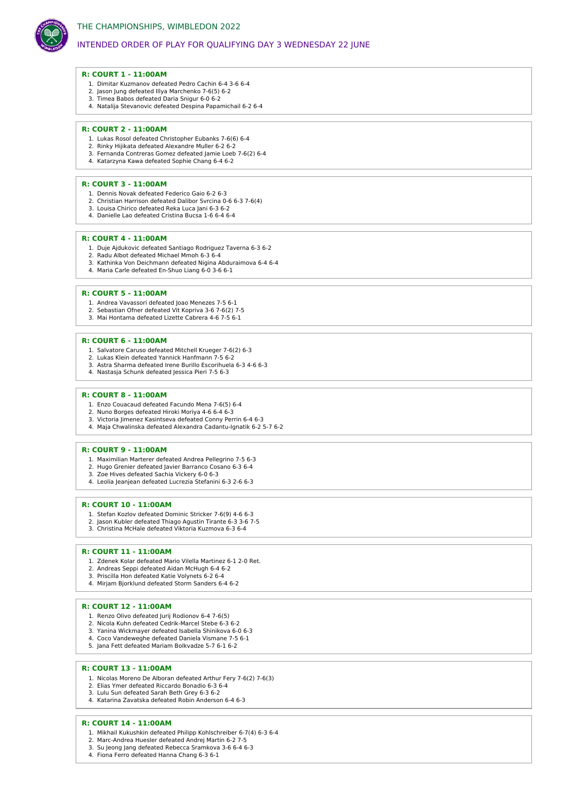

# INTENDED ORDER OF PLAY FOR QUALIFYING DAY 3 WEDNESDAY 22 JUNE

### **R: COURT 1 - 11:00AM**

- 1. Dimitar Kuzmanov defeated Pedro Cachin 6-4 3-6 6-4
- 2. Jason Jung defeated Illya Marchenko 7-6(5) 6-2 3. Timea Babos defeated Daria Snigur 6-0 6-2
- 4. Natalija Stevanovic defeated Despina Papamichail 6-2 6-4

### **R: COURT 2 - 11:00AM**

- 1. Lukas Rosol defeated Christopher Eubanks 7-6(6) 6-4
- 2. Rinky Hijikata defeated Alexandre Muller 6-2 6-2 3. Fernanda Contreras Gomez defeated Jamie Loeb 7-6(2) 6-4
- 4. Katarzyna Kawa defeated Sophie Chang 6-4 6-2

# **R: COURT 3 - 11:00AM**

- 1. Dennis Novak defeated Federico Gaio 6-2 6-3
- 2. Christian Harrison defeated Dalibor Svrcina 0-6 6-3 7-6(4)
- 3. Louisa Chirico defeated Reka Luca Jani 6-3 6-2 4. Danielle Lao defeated Cristina Bucsa 1-6 6-4 6-4
- 

### **R: COURT 4 - 11:00AM**

- 1. Duje Ajdukovic defeated Santiago Rodriguez Taverna 6-3 6-2
- 2. Radu Albot defeated Michael Mmoh 6-3 6-4
- 3. Kathinka Von Deichmann defeated Nigina Abduraimova 6-4 6-4 4. Maria Carle defeated En-Shuo Liang 6-0 3-6 6-1

#### **R: COURT 5 - 11:00AM**

- 1. Andrea Vavassori defeated Joao Menezes 7-5 6-1
- 2. Sebastian Ofner defeated Vit Kopriva 3-6 7-6(2) 7-5 3. Mai Hontama defeated Lizette Cabrera 4-6 7-5 6-1
- 

### **R: COURT 6 - 11:00AM**

- 1. Salvatore Caruso defeated Mitchell Krueger 7-6(2) 6-3
- 2. Lukas Klein defeated Yannick Hanfmann 7-5 6-2
- 3. Astra Sharma defeated Irene Burillo Escorihuela 6-3 4-6 6-3 4. Nastasja Schunk defeated Jessica Pieri 7-5 6-3
- 

## **R: COURT 8 - 11:00AM**

- 1. Enzo Couacaud defeated Facundo Mena 7-6(5) 6-4
- 2. Nuno Borges defeated Hiroki Moriya 4-6 6-4 6-3
- 3. Victoria Jimenez Kasintseva defeated Conny Perrin 6-4 6-3 4. Maja Chwalinska defeated Alexandra Cadantu-Ignatik 6-2 5-7 6-2
- 

# **R: COURT 9 - 11:00AM**

- 1. Maximilian Marterer defeated Andrea Pellegrino 7-5 6-3
- 2. Hugo Grenier defeated Javier Barranco Cosano 6-3 6-4
- 3. Zoe Hives defeated Sachia Vickery 6-0 6-3 4. Leolia Jeanjean defeated Lucrezia Stefanini 6-3 2-6 6-3

# **R: COURT 10 - 11:00AM**

- 1. Stefan Kozlov defeated Dominic Stricker 7-6(9) 4-6 6-3
- 2. Jason Kubler defeated Thiago Agustin Tirante 6-3 3-6 7-5
- 3. Christina McHale defeated Viktoria Kuzmova 6-3 6-4

### **R: COURT 11 - 11:00AM**

- 1. Zdenek Kolar defeated Mario Vilella Martinez 6-1 2-0 Ret.
- 2. Andreas Seppi defeated Aidan McHugh 6-4 6-2
- 3. Priscilla Hon defeated Katie Volynets 6-2 6-4
- 4. Mirjam Bjorklund defeated Storm Sanders 6-4 6-2

### **R: COURT 12 - 11:00AM**

- 1. Renzo Olivo defeated Jurij Rodionov 6-4 7-6(5)
- 2. Nicola Kuhn defeated Cedrik-Marcel Stebe 6-3 6-2
- 3. Yanina Wickmayer defeated Isabella Shinikova 6-0 6-3 4. Coco Vandeweghe defeated Daniela Vismane 7-5 6-1
- 5. Jana Fett defeated Mariam Bolkvadze 5-7 6-1 6-2

### **R: COURT 13 - 11:00AM**

- 1. Nicolas Moreno De Alboran defeated Arthur Fery 7-6(2) 7-6(3)
- 2. Elias Ymer defeated Riccardo Bonadio 6-3 6-4 3. Lulu Sun defeated Sarah Beth Grey 6-3 6-2
- 4. Katarina Zavatska defeated Robin Anderson 6-4 6-3
- **R: COURT 14 - 11:00AM**
	- 1. Mikhail Kukushkin defeated Philipp Kohlschreiber 6-7(4) 6-3 6-4
	- 2. Marc-Andrea Huesler defeated Andrej Martin 6-2 7-5
	- 3. Su Jeong Jang defeated Rebecca Sramkova 3-6 6-4 6-3
	- 4. Fiona Ferro defeated Hanna Chang 6-3 6-1